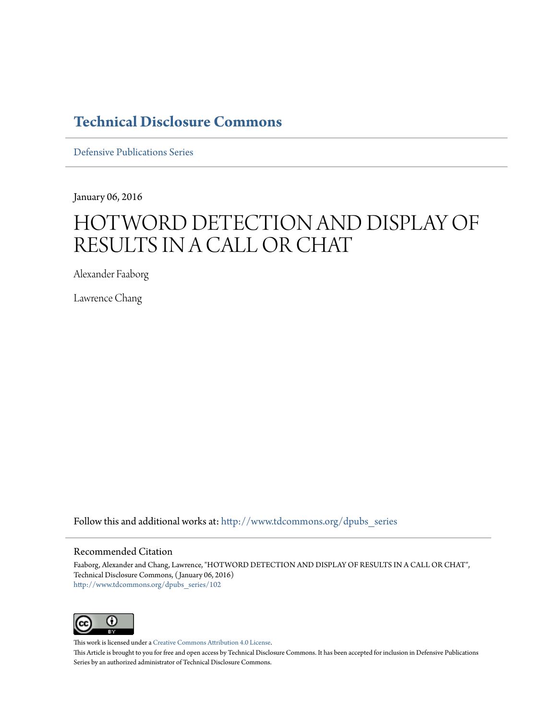### **[Technical Disclosure Commons](http://www.tdcommons.org?utm_source=www.tdcommons.org%2Fdpubs_series%2F102&utm_medium=PDF&utm_campaign=PDFCoverPages)**

[Defensive Publications Series](http://www.tdcommons.org/dpubs_series?utm_source=www.tdcommons.org%2Fdpubs_series%2F102&utm_medium=PDF&utm_campaign=PDFCoverPages)

January 06, 2016

# HOTWORD DETECTION AND DISPLAY OF RESULTS IN A CALL OR CHAT

Alexander Faaborg

Lawrence Chang

Follow this and additional works at: [http://www.tdcommons.org/dpubs\\_series](http://www.tdcommons.org/dpubs_series?utm_source=www.tdcommons.org%2Fdpubs_series%2F102&utm_medium=PDF&utm_campaign=PDFCoverPages)

#### Recommended Citation

Faaborg, Alexander and Chang, Lawrence, "HOTWORD DETECTION AND DISPLAY OF RESULTS IN A CALL OR CHAT", Technical Disclosure Commons, ( January 06, 2016) [http://www.tdcommons.org/dpubs\\_series/102](http://www.tdcommons.org/dpubs_series/102?utm_source=www.tdcommons.org%2Fdpubs_series%2F102&utm_medium=PDF&utm_campaign=PDFCoverPages)



This work is licensed under a [Creative Commons Attribution 4.0 License.](http://creativecommons.org/licenses/by/4.0/deed.en_US)

This Article is brought to you for free and open access by Technical Disclosure Commons. It has been accepted for inclusion in Defensive Publications Series by an authorized administrator of Technical Disclosure Commons.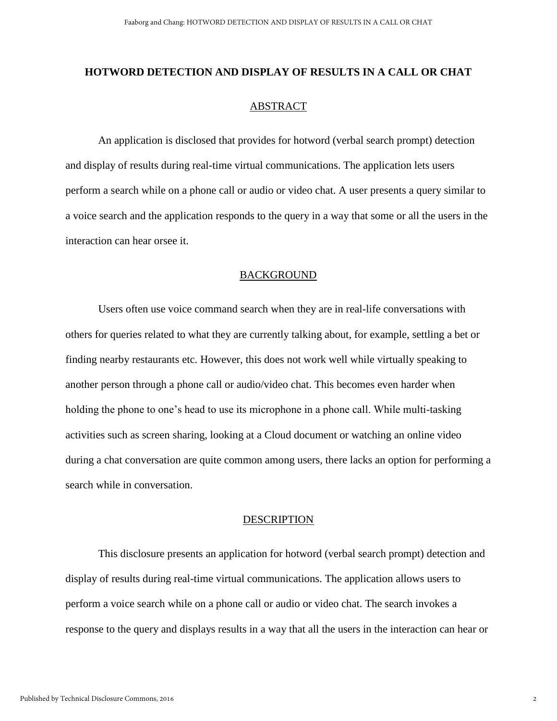## **HOTWORD DETECTION AND DISPLAY OF RESULTS IN A CALL OR CHAT** ABSTRACT

An application is disclosed that provides for hotword (verbal search prompt) detection and display of results during real-time virtual communications. The application lets users perform a search while on a phone call or audio or video chat. A user presents a query similar to a voice search and the application responds to the query in a way that some or all the users in the interaction can hear orsee it.

### BACKGROUND

Users often use voice command search when they are in real-life conversations with others for queries related to what they are currently talking about, for example, settling a bet or finding nearby restaurants etc. However, this does not work well while virtually speaking to another person through a phone call or audio/video chat. This becomes even harder when holding the phone to one's head to use its microphone in a phone call. While multi-tasking activities such as screen sharing, looking at a Cloud document or watching an online video during a chat conversation are quite common among users, there lacks an option for performing a search while in conversation.

#### **DESCRIPTION**

This disclosure presents an application for hotword (verbal search prompt) detection and display of results during real-time virtual communications. The application allows users to perform a voice search while on a phone call or audio or video chat. The search invokes a response to the query and displays results in a way that all the users in the interaction can hear or